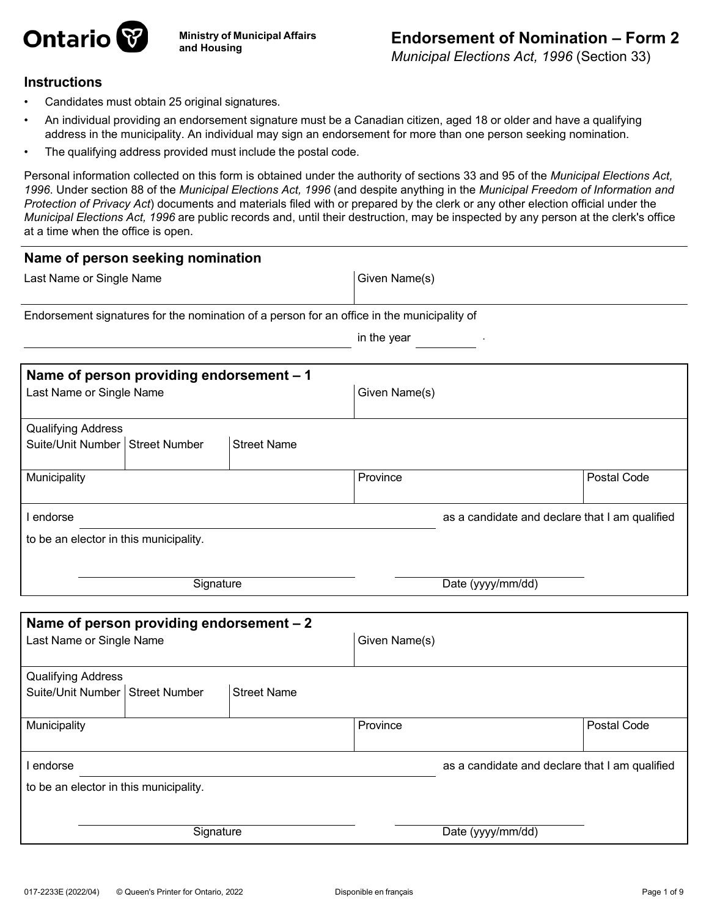

*Municipal Elections Act, 1996* (Section 33)

#### **Instructions**

- Candidates must obtain 25 original signatures.
- An individual providing an endorsement signature must be a Canadian citizen, aged 18 or older and have a qualifying address in the municipality. An individual may sign an endorsement for more than one person seeking nomination.
- The qualifying address provided must include the postal code.

Personal information collected on this form is obtained under the authority of sections 33 and 95 of the *Municipal Elections Act, 1996*. Under section 88 of the *Municipal Elections Act, 1996* (and despite anything in the *Municipal Freedom of Information and Protection of Privacy Act*) documents and materials filed with or prepared by the clerk or any other election official under the *Municipal Elections Act, 1996* are public records and, until their destruction, may be inspected by any person at the clerk's office at a time when the office is open.

| Name of person seeking nomination                                                          |                                                |             |
|--------------------------------------------------------------------------------------------|------------------------------------------------|-------------|
| Last Name or Single Name<br>Given Name(s)                                                  |                                                |             |
| Endorsement signatures for the nomination of a person for an office in the municipality of |                                                |             |
|                                                                                            | in the year                                    |             |
| Name of person providing endorsement - 1<br>Last Name or Single Name                       | Given Name(s)                                  |             |
| <b>Qualifying Address</b><br>Suite/Unit Number   Street Number<br><b>Street Name</b>       |                                                |             |
| Municipality                                                                               | Province                                       | Postal Code |
| I endorse<br>to be an elector in this municipality.                                        | as a candidate and declare that I am qualified |             |
| Signature                                                                                  | Date (yyyy/mm/dd)                              |             |
|                                                                                            |                                                |             |
| Name of person providing endorsement - 2<br>Last Name or Single Name                       | Given Name(s)                                  |             |
| <b>Qualifying Address</b><br>Suite/Unit Number   Street Number<br><b>Street Name</b>       |                                                |             |
| Municipality                                                                               | Province                                       | Postal Code |
| I endorse<br>to be an elector in this municipality.                                        | as a candidate and declare that I am qualified |             |
| Signature                                                                                  | Date (yyyy/mm/dd)                              |             |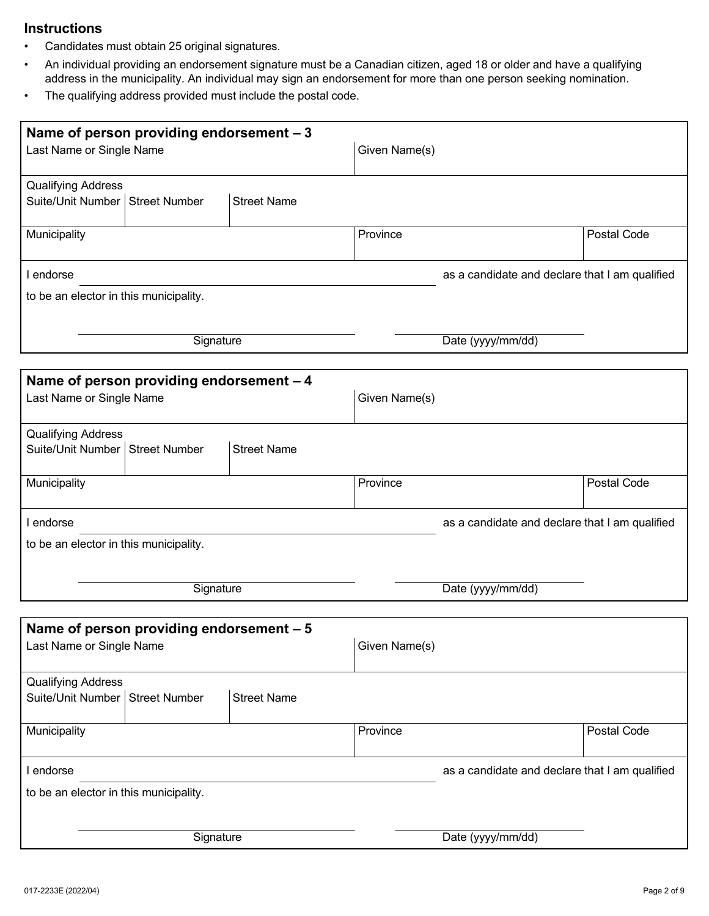- Candidates must obtain 25 original signatures.
- An individual providing an endorsement signature must be a Canadian citizen, aged 18 or older and have a qualifying address in the municipality. An individual may sign an endorsement for more than one person seeking nomination.
- The qualifying address provided must include the postal code.

| Name of person providing endorsement - 3<br>Last Name or Single Name | Given Name(s)      |               |                                                |             |
|----------------------------------------------------------------------|--------------------|---------------|------------------------------------------------|-------------|
| <b>Qualifying Address</b><br>Suite/Unit Number   Street Number       | <b>Street Name</b> |               |                                                |             |
| Municipality                                                         |                    | Province      |                                                | Postal Code |
| I endorse                                                            |                    |               | as a candidate and declare that I am qualified |             |
| to be an elector in this municipality.                               |                    |               |                                                |             |
| Signature                                                            |                    |               | Date (yyyy/mm/dd)                              |             |
| Name of person providing endorsement - 4<br>Last Name or Single Name |                    | Given Name(s) |                                                |             |
| <b>Qualifying Address</b><br>Suite/Unit Number   Street Number       | <b>Street Name</b> |               |                                                |             |
| Municipality                                                         |                    | Province      |                                                | Postal Code |
| I endorse                                                            |                    |               | as a candidate and declare that I am qualified |             |
| to be an elector in this municipality.                               |                    |               |                                                |             |
| Signature                                                            |                    |               | Date (yyyy/mm/dd)                              |             |
| Name of person providing endorsement - 5<br>Last Name or Single Name |                    | Given Name(s) |                                                |             |
| <b>Qualifying Address</b><br>Suite/Unit Number   Street Number       | <b>Street Name</b> |               |                                                |             |
| Municipality                                                         |                    | Province      |                                                | Postal Code |
| I endorse                                                            |                    |               | as a candidate and declare that I am qualified |             |
| to be an elector in this municipality.                               |                    |               |                                                |             |
| Signature                                                            |                    |               | Date (yyyy/mm/dd)                              |             |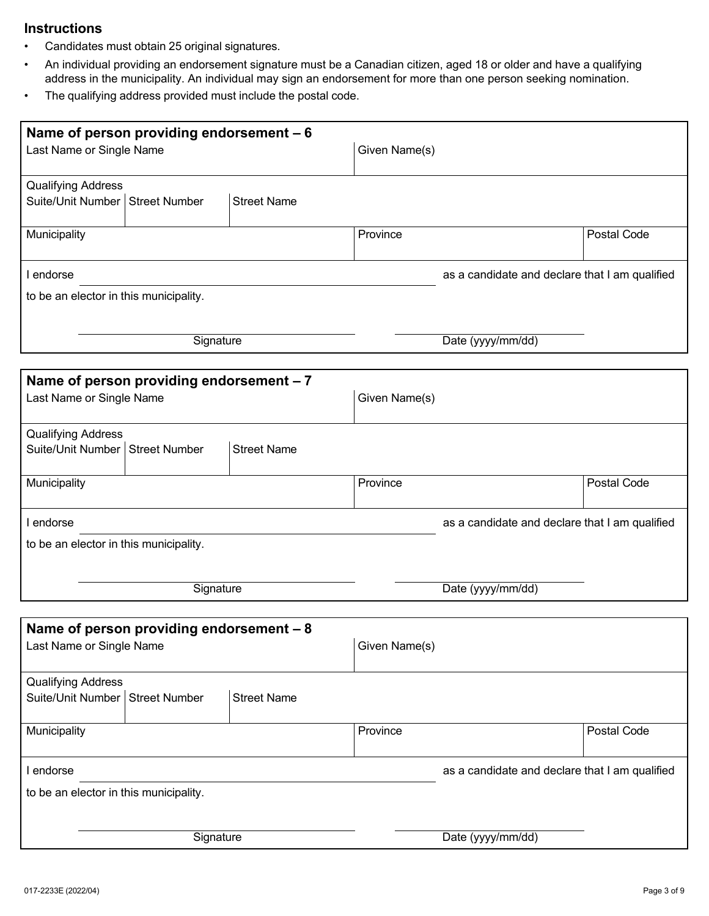- Candidates must obtain 25 original signatures.
- An individual providing an endorsement signature must be a Canadian citizen, aged 18 or older and have a qualifying address in the municipality. An individual may sign an endorsement for more than one person seeking nomination.
- The qualifying address provided must include the postal code.

| Name of person providing endorsement - 6<br>Last Name or Single Name | Given Name(s)      |               |                                                |             |
|----------------------------------------------------------------------|--------------------|---------------|------------------------------------------------|-------------|
| <b>Qualifying Address</b><br>Suite/Unit Number   Street Number       | <b>Street Name</b> |               |                                                |             |
| Municipality                                                         |                    | Province      |                                                | Postal Code |
| I endorse                                                            |                    |               | as a candidate and declare that I am qualified |             |
| to be an elector in this municipality.                               |                    |               |                                                |             |
| Signature                                                            |                    |               | Date (yyyy/mm/dd)                              |             |
| Name of person providing endorsement - 7<br>Last Name or Single Name |                    | Given Name(s) |                                                |             |
| <b>Qualifying Address</b><br>Suite/Unit Number   Street Number       | <b>Street Name</b> |               |                                                |             |
| Municipality                                                         |                    | Province      |                                                | Postal Code |
| I endorse                                                            |                    |               | as a candidate and declare that I am qualified |             |
| to be an elector in this municipality.                               |                    |               |                                                |             |
| Signature                                                            |                    |               | Date (yyyy/mm/dd)                              |             |
| Name of person providing endorsement - 8<br>Last Name or Single Name |                    | Given Name(s) |                                                |             |
| <b>Qualifying Address</b><br>Suite/Unit Number   Street Number       | <b>Street Name</b> |               |                                                |             |
| Municipality                                                         |                    | Province      |                                                | Postal Code |
| I endorse<br>as a candidate and declare that I am qualified          |                    |               |                                                |             |
| to be an elector in this municipality.                               |                    |               |                                                |             |
| Signature                                                            |                    |               | Date (yyyy/mm/dd)                              |             |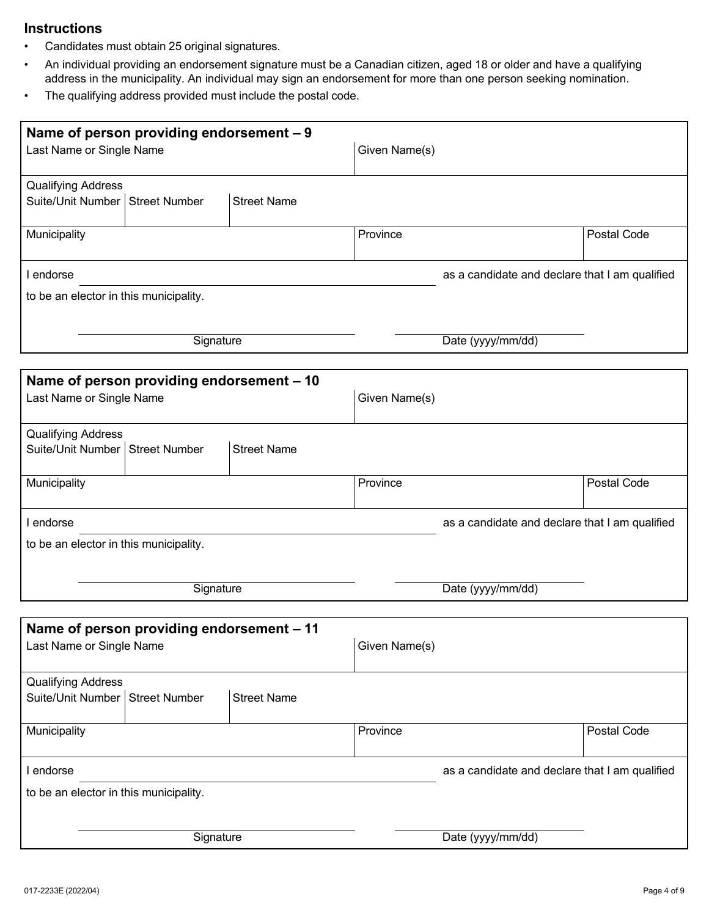- Candidates must obtain 25 original signatures.
- An individual providing an endorsement signature must be a Canadian citizen, aged 18 or older and have a qualifying address in the municipality. An individual may sign an endorsement for more than one person seeking nomination.
- The qualifying address provided must include the postal code.

| Name of person providing endorsement - 9                                                 |           |                    |               |                                                |             |
|------------------------------------------------------------------------------------------|-----------|--------------------|---------------|------------------------------------------------|-------------|
| Last Name or Single Name                                                                 |           |                    | Given Name(s) |                                                |             |
|                                                                                          |           |                    |               |                                                |             |
| <b>Qualifying Address</b><br>Suite/Unit Number   Street Number                           |           | <b>Street Name</b> |               |                                                |             |
|                                                                                          |           |                    |               |                                                |             |
| Municipality                                                                             |           |                    | Province      |                                                | Postal Code |
|                                                                                          |           |                    |               |                                                |             |
| I endorse                                                                                |           |                    |               | as a candidate and declare that I am qualified |             |
| to be an elector in this municipality.                                                   |           |                    |               |                                                |             |
|                                                                                          |           |                    |               |                                                |             |
|                                                                                          | Signature |                    |               | Date (yyyy/mm/dd)                              |             |
|                                                                                          |           |                    |               |                                                |             |
| Name of person providing endorsement - 10                                                |           |                    |               |                                                |             |
| Last Name or Single Name                                                                 |           |                    | Given Name(s) |                                                |             |
|                                                                                          |           |                    |               |                                                |             |
| <b>Qualifying Address</b><br>Suite/Unit Number   Street Number                           |           | <b>Street Name</b> |               |                                                |             |
|                                                                                          |           |                    |               |                                                |             |
| Municipality                                                                             |           |                    | Province      |                                                | Postal Code |
|                                                                                          |           |                    |               |                                                |             |
| I endorse                                                                                |           |                    |               | as a candidate and declare that I am qualified |             |
| to be an elector in this municipality.                                                   |           |                    |               |                                                |             |
|                                                                                          |           |                    |               |                                                |             |
|                                                                                          | Signature |                    |               | Date (yyyy/mm/dd)                              |             |
|                                                                                          |           |                    |               |                                                |             |
| Name of person providing endorsement - 11                                                |           |                    |               |                                                |             |
| Last Name or Single Name                                                                 |           |                    | Given Name(s) |                                                |             |
|                                                                                          |           |                    |               |                                                |             |
| <b>Qualifying Address</b>                                                                |           |                    |               |                                                |             |
| Suite/Unit Number   Street Number                                                        |           | <b>Street Name</b> |               |                                                |             |
| Municipality                                                                             |           |                    | Province      |                                                | Postal Code |
|                                                                                          |           |                    |               |                                                |             |
| I endorse                                                                                |           |                    |               |                                                |             |
| as a candidate and declare that I am qualified<br>to be an elector in this municipality. |           |                    |               |                                                |             |
|                                                                                          |           |                    |               |                                                |             |
|                                                                                          |           |                    |               |                                                |             |
|                                                                                          | Signature |                    |               | Date (yyyy/mm/dd)                              |             |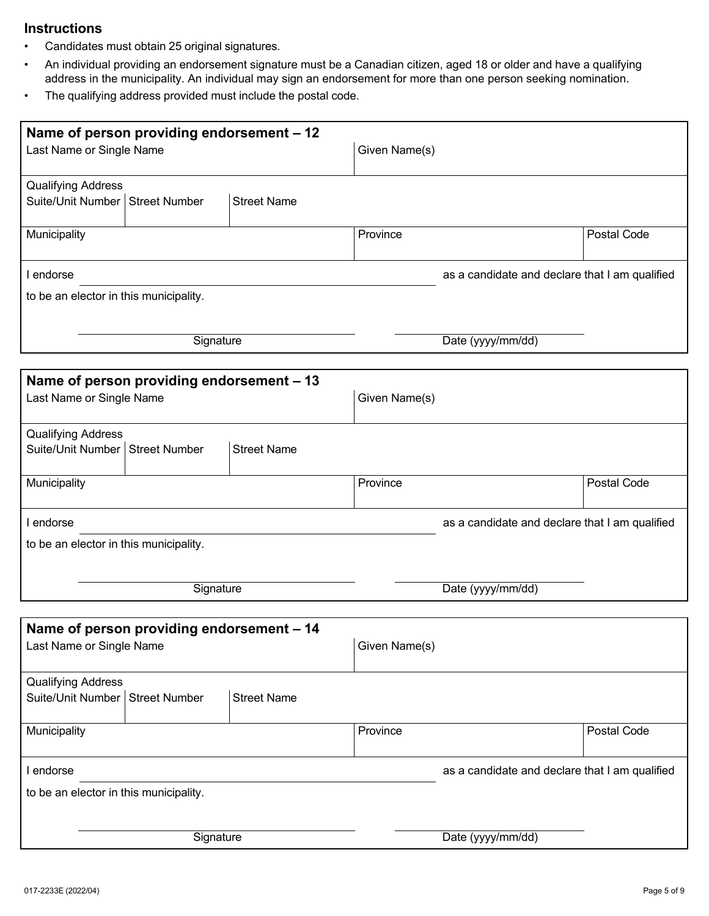- Candidates must obtain 25 original signatures.
- An individual providing an endorsement signature must be a Canadian citizen, aged 18 or older and have a qualifying address in the municipality. An individual may sign an endorsement for more than one person seeking nomination.
- The qualifying address provided must include the postal code.

| Name of person providing endorsement - 12<br>Last Name or Single Name |                    | Given Name(s) |                                                |             |
|-----------------------------------------------------------------------|--------------------|---------------|------------------------------------------------|-------------|
| <b>Qualifying Address</b><br>Suite/Unit Number   Street Number        | <b>Street Name</b> |               |                                                |             |
| Municipality                                                          |                    | Province      |                                                | Postal Code |
| I endorse                                                             |                    |               | as a candidate and declare that I am qualified |             |
| to be an elector in this municipality.                                |                    |               |                                                |             |
| Signature                                                             |                    |               | Date (yyyy/mm/dd)                              |             |
| Name of person providing endorsement - 13<br>Last Name or Single Name |                    | Given Name(s) |                                                |             |
| <b>Qualifying Address</b><br>Suite/Unit Number   Street Number        | <b>Street Name</b> |               |                                                |             |
| Municipality                                                          |                    | Province      |                                                | Postal Code |
| I endorse                                                             |                    |               | as a candidate and declare that I am qualified |             |
| to be an elector in this municipality.                                |                    |               |                                                |             |
| Signature                                                             |                    |               | Date (yyyy/mm/dd)                              |             |
| Name of person providing endorsement - 14<br>Last Name or Single Name |                    | Given Name(s) |                                                |             |
| <b>Qualifying Address</b><br>Suite/Unit Number   Street Number        | <b>Street Name</b> |               |                                                |             |
| Municipality                                                          |                    | Province      |                                                | Postal Code |
| I endorse                                                             |                    |               | as a candidate and declare that I am qualified |             |
| to be an elector in this municipality.                                |                    |               |                                                |             |
| Signature                                                             |                    |               | Date (yyyy/mm/dd)                              |             |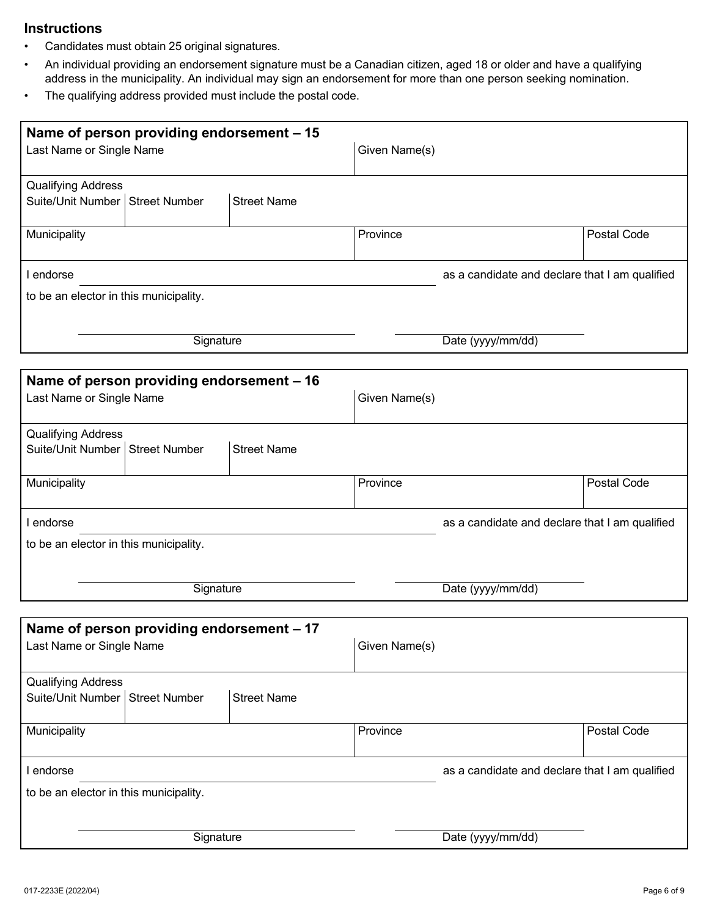- Candidates must obtain 25 original signatures.
- An individual providing an endorsement signature must be a Canadian citizen, aged 18 or older and have a qualifying address in the municipality. An individual may sign an endorsement for more than one person seeking nomination.
- The qualifying address provided must include the postal code.

| Name of person providing endorsement - 15<br>Last Name or Single Name |                    | Given Name(s) |                                                |             |
|-----------------------------------------------------------------------|--------------------|---------------|------------------------------------------------|-------------|
| <b>Qualifying Address</b><br>Suite/Unit Number<br>Street Number       | <b>Street Name</b> |               |                                                |             |
|                                                                       |                    |               |                                                |             |
| Municipality                                                          |                    | Province      |                                                | Postal Code |
| I endorse                                                             |                    |               | as a candidate and declare that I am qualified |             |
| to be an elector in this municipality.                                |                    |               |                                                |             |
| Signature                                                             |                    |               | Date (yyyy/mm/dd)                              |             |
|                                                                       |                    |               |                                                |             |
| Name of person providing endorsement - 16<br>Last Name or Single Name |                    | Given Name(s) |                                                |             |
| <b>Qualifying Address</b><br>Suite/Unit Number   Street Number        | <b>Street Name</b> |               |                                                |             |
| Municipality                                                          |                    | Province      |                                                | Postal Code |
| I endorse                                                             |                    |               | as a candidate and declare that I am qualified |             |
| to be an elector in this municipality.                                |                    |               |                                                |             |
| Signature                                                             |                    |               | Date (yyyy/mm/dd)                              |             |
|                                                                       |                    |               |                                                |             |
| Name of person providing endorsement - 17<br>Last Name or Single Name |                    | Given Name(s) |                                                |             |
| <b>Qualifying Address</b><br>Suite/Unit Number   Street Number        | <b>Street Name</b> |               |                                                |             |
| Municipality                                                          |                    | Province      |                                                | Postal Code |
| I endorse                                                             |                    |               | as a candidate and declare that I am qualified |             |
| to be an elector in this municipality.                                |                    |               |                                                |             |
| Signature                                                             |                    |               | Date (yyyy/mm/dd)                              |             |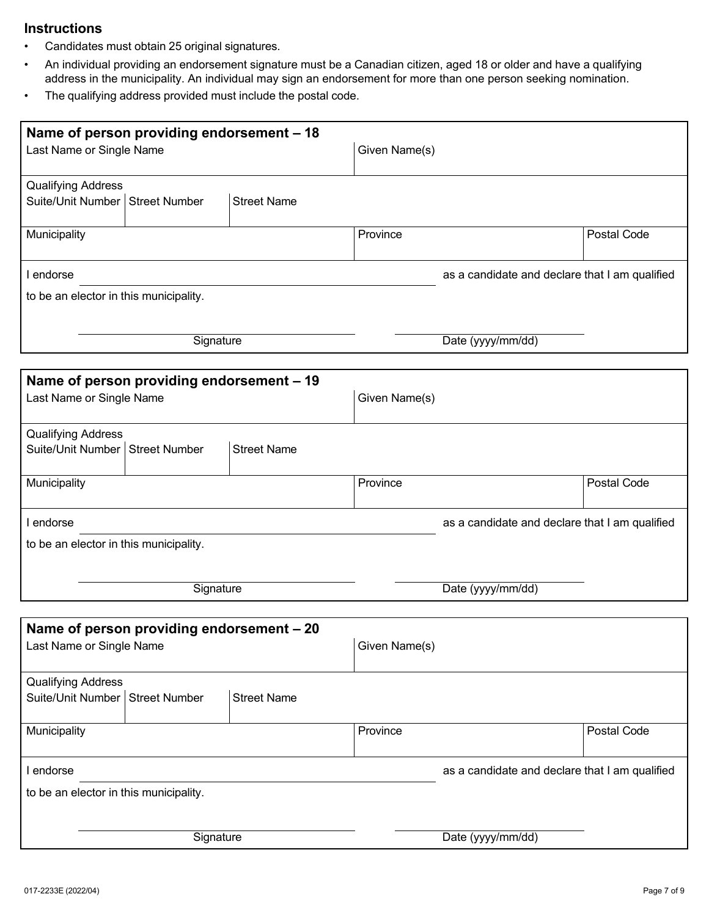- Candidates must obtain 25 original signatures.
- An individual providing an endorsement signature must be a Canadian citizen, aged 18 or older and have a qualifying address in the municipality. An individual may sign an endorsement for more than one person seeking nomination.
- The qualifying address provided must include the postal code.

| Name of person providing endorsement - 18<br>Last Name or Single Name                  |                    | Given Name(s) |                                                |             |
|----------------------------------------------------------------------------------------|--------------------|---------------|------------------------------------------------|-------------|
| <b>Qualifying Address</b><br>Suite/Unit Number   Street Number                         | <b>Street Name</b> |               |                                                |             |
| Municipality                                                                           |                    | Province      |                                                | Postal Code |
| I endorse                                                                              |                    |               | as a candidate and declare that I am qualified |             |
| to be an elector in this municipality.                                                 |                    |               |                                                |             |
|                                                                                        | Signature          |               | Date (yyyy/mm/dd)                              |             |
| Name of person providing endorsement - 19<br>Last Name or Single Name<br>Given Name(s) |                    |               |                                                |             |
| <b>Qualifying Address</b><br>Suite/Unit Number   Street Number                         | <b>Street Name</b> |               |                                                |             |
| Municipality                                                                           |                    | Province      |                                                | Postal Code |
| I endorse                                                                              |                    |               | as a candidate and declare that I am qualified |             |
| to be an elector in this municipality.                                                 |                    |               |                                                |             |
|                                                                                        | Signature          |               | Date (yyyy/mm/dd)                              |             |
| Name of person providing endorsement - 20<br>Given Name(s)<br>Last Name or Single Name |                    |               |                                                |             |
| <b>Qualifying Address</b><br>Suite/Unit Number   Street Number                         | <b>Street Name</b> |               |                                                |             |
| Municipality                                                                           |                    | Province      |                                                | Postal Code |
| as a candidate and declare that I am qualified<br>I endorse                            |                    |               |                                                |             |
| to be an elector in this municipality.                                                 |                    |               |                                                |             |
|                                                                                        | Signature          |               | Date (yyyy/mm/dd)                              |             |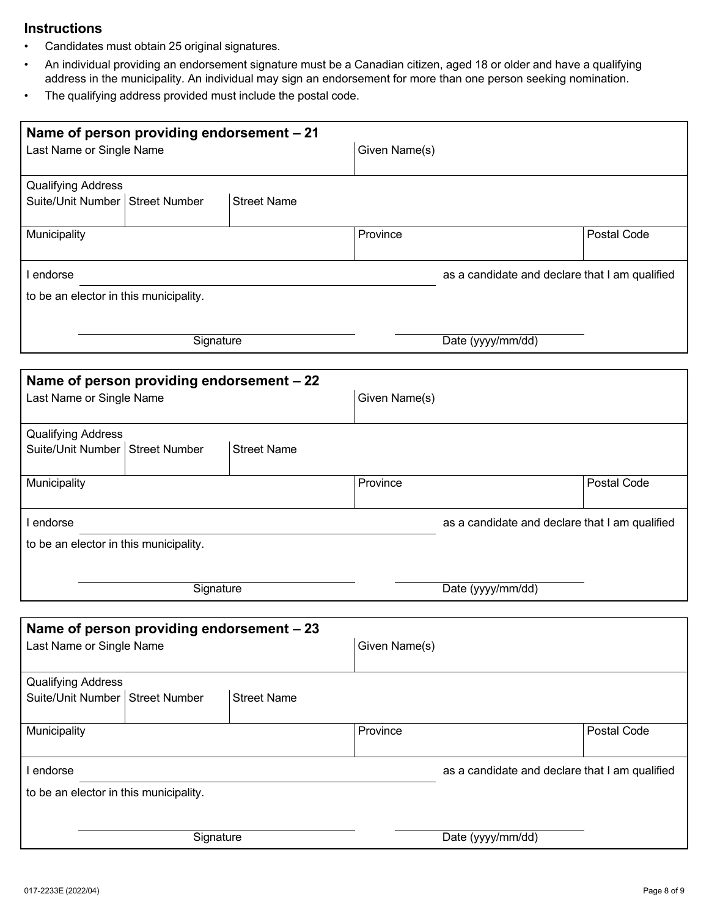- Candidates must obtain 25 original signatures.
- An individual providing an endorsement signature must be a Canadian citizen, aged 18 or older and have a qualifying address in the municipality. An individual may sign an endorsement for more than one person seeking nomination.
- The qualifying address provided must include the postal code.

| Name of person providing endorsement - 21<br>Last Name or Single Name |           |                    | Given Name(s) |                                                |             |
|-----------------------------------------------------------------------|-----------|--------------------|---------------|------------------------------------------------|-------------|
| <b>Qualifying Address</b><br>Suite/Unit Number   Street Number        |           | <b>Street Name</b> |               |                                                |             |
| Municipality                                                          |           |                    | Province      |                                                | Postal Code |
| I endorse                                                             |           |                    |               | as a candidate and declare that I am qualified |             |
| to be an elector in this municipality.                                |           |                    |               |                                                |             |
|                                                                       | Signature |                    |               | Date (yyyy/mm/dd)                              |             |
| Name of person providing endorsement - 22<br>Last Name or Single Name |           |                    | Given Name(s) |                                                |             |
| <b>Qualifying Address</b><br>Suite/Unit Number   Street Number        |           | <b>Street Name</b> |               |                                                |             |
| Municipality                                                          |           |                    | Province      |                                                | Postal Code |
| I endorse                                                             |           |                    |               | as a candidate and declare that I am qualified |             |
| to be an elector in this municipality.                                |           |                    |               |                                                |             |
|                                                                       | Signature |                    |               | Date (yyyy/mm/dd)                              |             |
| Name of person providing endorsement - 23<br>Last Name or Single Name |           |                    | Given Name(s) |                                                |             |
| <b>Qualifying Address</b><br>Suite/Unit Number   Street Number        |           | <b>Street Name</b> |               |                                                |             |
| Municipality                                                          |           |                    | Province      |                                                | Postal Code |
| I endorse                                                             |           |                    |               | as a candidate and declare that I am qualified |             |
| to be an elector in this municipality.                                |           |                    |               |                                                |             |
|                                                                       | Signature |                    |               | Date (yyyy/mm/dd)                              |             |